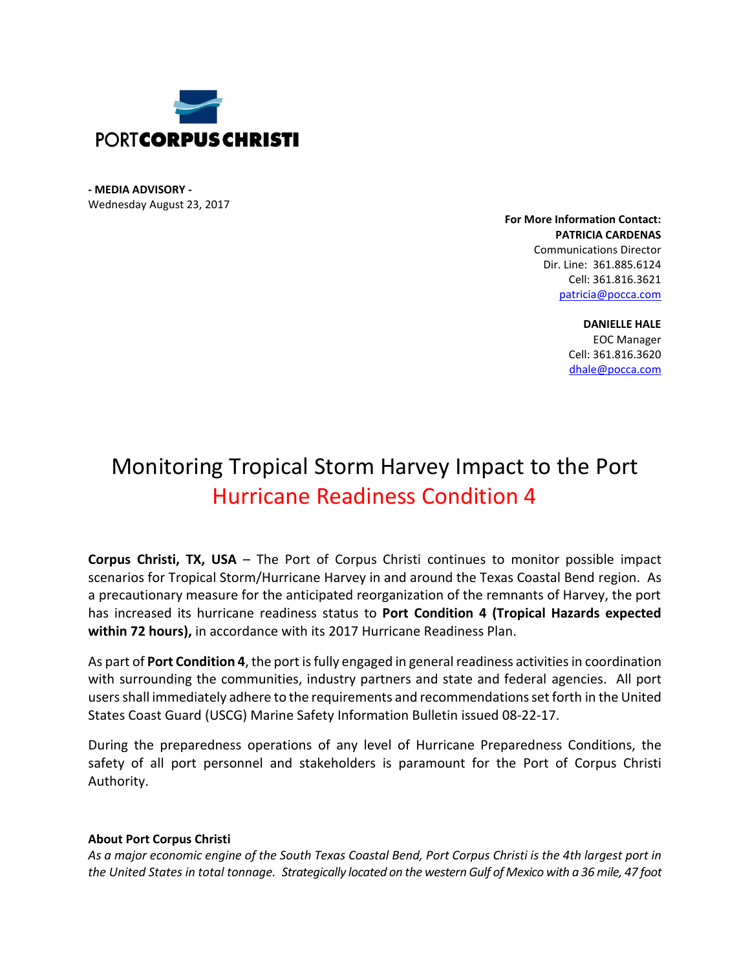

**- MEDIA ADVISORY -** Wednesday August 23, 2017

> **For More Information Contact: PATRICIA CARDENAS** Communications Director Dir. Line: 361.885.6124 Cell: 361.816.3621 [patricia@pocca.com](mailto:patricia@pocca.com)

> > **DANIELLE HALE** EOC Manager Cell: 361.816.3620 [dhale@pocca.com](mailto:dhale@pocca.com)

## Monitoring Tropical Storm Harvey Impact to the Port Hurricane Readiness Condition 4

**Corpus Christi, TX, USA** – The Port of Corpus Christi continues to monitor possible impact scenarios for Tropical Storm/Hurricane Harvey in and around the Texas Coastal Bend region. As a precautionary measure for the anticipated reorganization of the remnants of Harvey, the port has increased its hurricane readiness status to **Port Condition 4 (Tropical Hazards expected within 72 hours),** in accordance with its 2017 Hurricane Readiness Plan.

As part of **Port Condition 4**, the port is fully engaged in general readiness activities in coordination with surrounding the communities, industry partners and state and federal agencies. All port users shall immediately adhere to the requirements and recommendations set forth in the United States Coast Guard (USCG) Marine Safety Information Bulletin issued 08-22-17.

During the preparedness operations of any level of Hurricane Preparedness Conditions, the safety of all port personnel and stakeholders is paramount for the Port of Corpus Christi Authority.

## **About Port Corpus Christi**

*As a major economic engine of the South Texas Coastal Bend, Port Corpus Christi is the 4th largest port in the United States in total tonnage. Strategically located on the western Gulf of Mexico with a 36 mile, 47 foot*